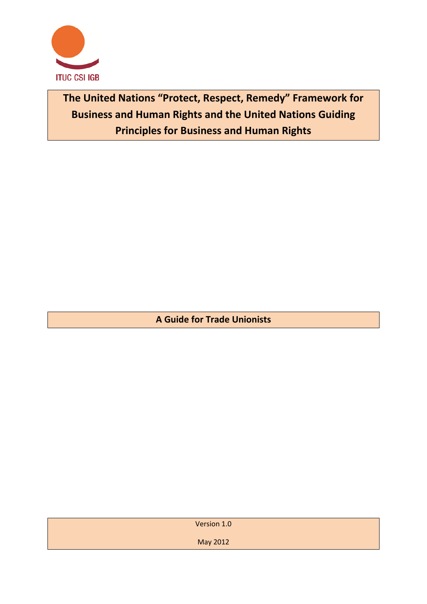

**The United Nations "Protect, Respect, Remedy" Framework for Business and Human Rights and the United Nations Guiding Principles for Business and Human Rights**

**A Guide for Trade Unionists**

| Version 1.0 |
|-------------|
| May 2012    |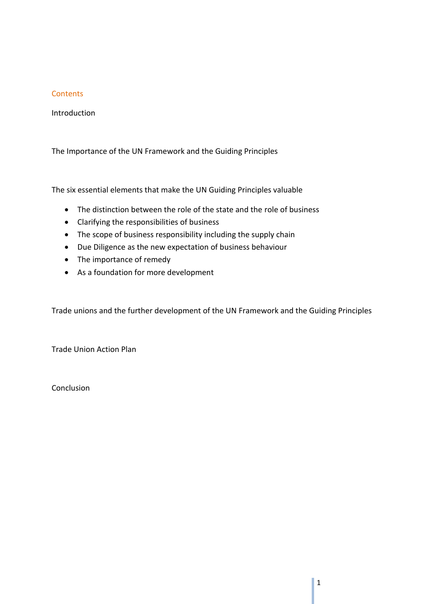# **Contents**

Introduction

The Importance of the UN Framework and the Guiding Principles

The six essential elements that make the UN Guiding Principles valuable

- The distinction between the role of the state and the role of business
- Clarifying the responsibilities of business
- The scope of business responsibility including the supply chain
- Due Diligence as the new expectation of business behaviour
- The importance of remedy
- As a foundation for more development

Trade unions and the further development of the UN Framework and the Guiding Principles

Trade Union Action Plan

**Conclusion**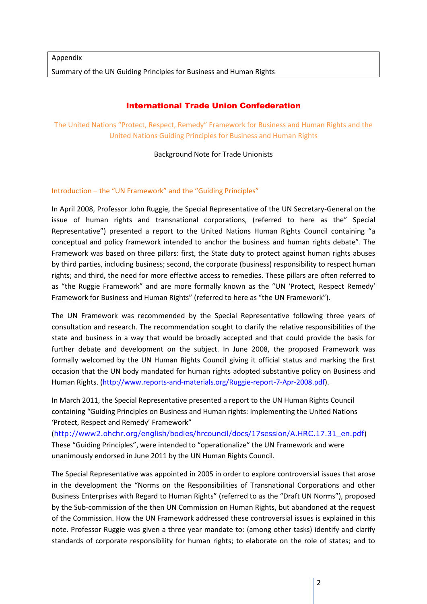# International Trade Union Confederation

The United Nations "Protect, Respect, Remedy" Framework for Business and Human Rights and the United Nations Guiding Principles for Business and Human Rights

#### Background Note for Trade Unionists

# Introduction – the "UN Framework" and the "Guiding Principles"

In April 2008, Professor John Ruggie, the Special Representative of the UN Secretary-General on the issue of human rights and transnational corporations, (referred to here as the" Special Representative") presented a report to the United Nations Human Rights Council containing "a conceptual and policy framework intended to anchor the business and human rights debate". The Framework was based on three pillars: first, the State duty to protect against human rights abuses by third parties, including business; second, the corporate (business) responsibility to respect human rights; and third, the need for more effective access to remedies. These pillars are often referred to as "the Ruggie Framework" and are more formally known as the "UN 'Protect, Respect Remedy' Framework for Business and Human Rights" (referred to here as "the UN Framework").

The UN Framework was recommended by the Special Representative following three years of consultation and research. The recommendation sought to clarify the relative responsibilities of the state and business in a way that would be broadly accepted and that could provide the basis for further debate and development on the subject. In June 2008, the proposed Framework was formally welcomed by the UN Human Rights Council giving it official status and marking the first occasion that the UN body mandated for human rights adopted substantive policy on Business and Human Rights. [\(http://www.reports-and-materials.org/Ruggie-report-7-Apr-2008.pdf\)](http://www.reports-and-materials.org/Ruggie-report-7-Apr-2008.pdf).

In March 2011, the Special Representative presented a report to the UN Human Rights Council containing "Guiding Principles on Business and Human rights: Implementing the United Nations 'Protect, Respect and Remedy' Framework"

([http://www2.ohchr.org/english/bodies/hrcouncil/docs/17session/A.HRC.17.31\\_en.pdf](http://www2.ohchr.org/english/bodies/hrcouncil/docs/17session/A.HRC.17.31_en.pdf)) These "Guiding Principles", were intended to "operationalize" the UN Framework and were unanimously endorsed in June 2011 by the UN Human Rights Council.

The Special Representative was appointed in 2005 in order to explore controversial issues that arose in the development the "Norms on the Responsibilities of Transnational Corporations and other Business Enterprises with Regard to Human Rights" (referred to as the "Draft UN Norms"), proposed by the Sub-commission of the then UN Commission on Human Rights, but abandoned at the request of the Commission. How the UN Framework addressed these controversial issues is explained in this note. Professor Ruggie was given a three year mandate to: (among other tasks) identify and clarify standards of corporate responsibility for human rights; to elaborate on the role of states; and to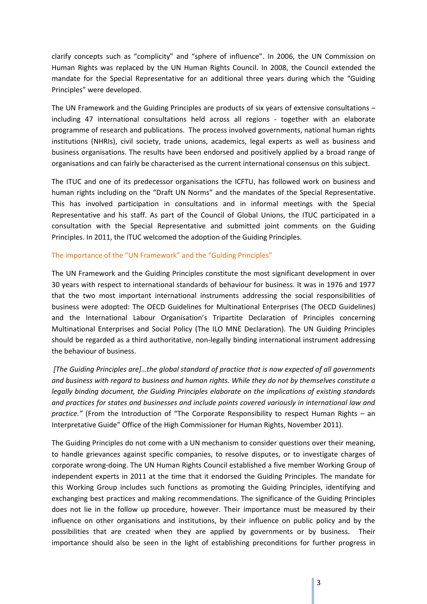clarify concepts such as "complicity" and "sphere of influence". In 2006, the UN Commission on Human Rights was replaced by the UN Human Rights Council. In 2008, the Council extended the mandate for the Special Representative for an additional three years during which the "Guiding Principles" were developed.

The UN Framework and the Guiding Principles are products of six years of extensive consultations – including 47 international consultations held across all regions - together with an elaborate programme of research and publications. The process involved governments, national human rights institutions (NHRIs), civil society, trade unions, academics, legal experts as well as business and business organisations. The results have been endorsed and positively applied by a broad range of organisations and can fairly be characterised as the current international consensus on this subject.

The ITUC and one of its predecessor organisations the ICFTU, has followed work on business and human rights including on the "Draft UN Norms" and the mandates of the Special Representative. This has involved participation in consultations and in informal meetings with the Special Representative and his staff. As part of the Council of Global Unions, the ITUC participated in a consultation with the Special Representative and submitted joint comments on the Guiding Principles. In 2011, the ITUC welcomed the adoption of the Guiding Principles.

#### The importance of the "UN Framework" and the "Guiding Principles"

The UN Framework and the Guiding Principles constitute the most significant development in over 30 years with respect to international standards of behaviour for business. It was in 1976 and 1977 that the two most important international instruments addressing the social responsibilities of business were adopted: The OECD Guidelines for Multinational Enterprises (The OECD Guidelines) and the International Labour Organisation's Tripartite Declaration of Principles concerning Multinational Enterprises and Social Policy (The ILO MNE Declaration). The UN Guiding Principles should be regarded as a third authoritative, non-legally binding international instrument addressing the behaviour of business.

*[The Guiding Principles are]…the global standard of practice that is now expected of all governments and business with regard to business and human rights. While they do not by themselves constitute a legally binding document, the Guiding Principles elaborate on the implications of existing standards and practices for states and businesses and include points covered variously in international law and practice."* (From the Introduction of "The Corporate Responsibility to respect Human Rights – an Interpretative Guide" Office of the High Commissioner for Human Rights, November 2011).

The Guiding Principles do not come with a UN mechanism to consider questions over their meaning, to handle grievances against specific companies, to resolve disputes, or to investigate charges of corporate wrong-doing. The UN Human Rights Council established a five member Working Group of independent experts in 2011 at the time that it endorsed the Guiding Principles. The mandate for this Working Group includes such functions as promoting the Guiding Principles, identifying and exchanging best practices and making recommendations. The significance of the Guiding Principles does not lie in the follow up procedure, however. Their importance must be measured by their influence on other organisations and institutions, by their influence on public policy and by the possibilities that are created when they are applied by governments or by business. Their importance should also be seen in the light of establishing preconditions for further progress in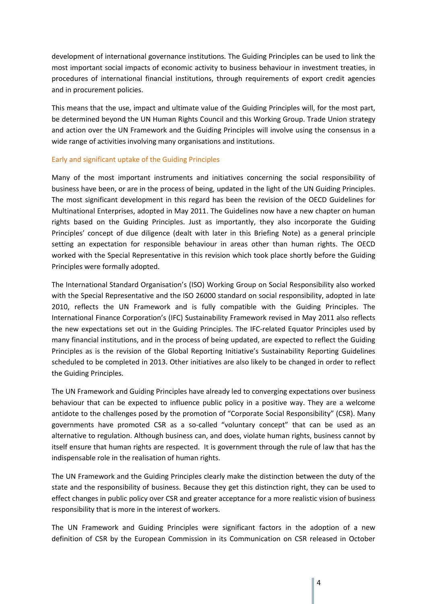development of international governance institutions. The Guiding Principles can be used to link the most important social impacts of economic activity to business behaviour in investment treaties, in procedures of international financial institutions, through requirements of export credit agencies and in procurement policies.

This means that the use, impact and ultimate value of the Guiding Principles will, for the most part, be determined beyond the UN Human Rights Council and this Working Group. Trade Union strategy and action over the UN Framework and the Guiding Principles will involve using the consensus in a wide range of activities involving many organisations and institutions.

#### Early and significant uptake of the Guiding Principles

Many of the most important instruments and initiatives concerning the social responsibility of business have been, or are in the process of being, updated in the light of the UN Guiding Principles. The most significant development in this regard has been the revision of the OECD Guidelines for Multinational Enterprises, adopted in May 2011. The Guidelines now have a new chapter on human rights based on the Guiding Principles. Just as importantly, they also incorporate the Guiding Principles' concept of due diligence (dealt with later in this Briefing Note) as a general principle setting an expectation for responsible behaviour in areas other than human rights. The OECD worked with the Special Representative in this revision which took place shortly before the Guiding Principles were formally adopted.

The International Standard Organisation's (ISO) Working Group on Social Responsibility also worked with the Special Representative and the ISO 26000 standard on social responsibility, adopted in late 2010, reflects the UN Framework and is fully compatible with the Guiding Principles. The International Finance Corporation's (IFC) Sustainability Framework revised in May 2011 also reflects the new expectations set out in the Guiding Principles. The IFC-related Equator Principles used by many financial institutions, and in the process of being updated, are expected to reflect the Guiding Principles as is the revision of the Global Reporting Initiative's Sustainability Reporting Guidelines scheduled to be completed in 2013. Other initiatives are also likely to be changed in order to reflect the Guiding Principles.

The UN Framework and Guiding Principles have already led to converging expectations over business behaviour that can be expected to influence public policy in a positive way. They are a welcome antidote to the challenges posed by the promotion of "Corporate Social Responsibility" (CSR). Many governments have promoted CSR as a so-called "voluntary concept" that can be used as an alternative to regulation. Although business can, and does, violate human rights, business cannot by itself ensure that human rights are respected. It is government through the rule of law that has the indispensable role in the realisation of human rights.

The UN Framework and the Guiding Principles clearly make the distinction between the duty of the state and the responsibility of business. Because they get this distinction right, they can be used to effect changes in public policy over CSR and greater acceptance for a more realistic vision of business responsibility that is more in the interest of workers.

The UN Framework and Guiding Principles were significant factors in the adoption of a new definition of CSR by the European Commission in its Communication on CSR released in October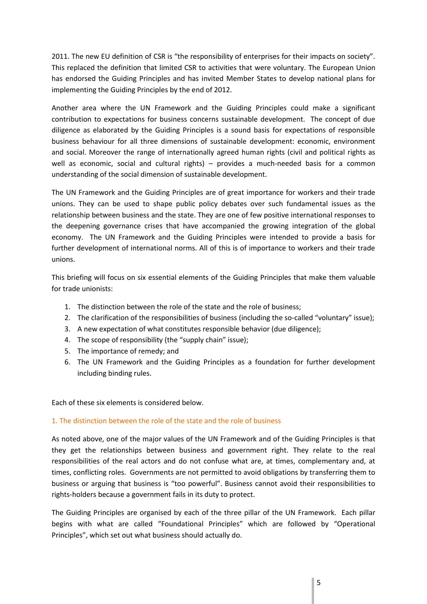2011. The new EU definition of CSR is "the responsibility of enterprises for their impacts on society". This replaced the definition that limited CSR to activities that were voluntary. The European Union has endorsed the Guiding Principles and has invited Member States to develop national plans for implementing the Guiding Principles by the end of 2012.

Another area where the UN Framework and the Guiding Principles could make a significant contribution to expectations for business concerns sustainable development. The concept of due diligence as elaborated by the Guiding Principles is a sound basis for expectations of responsible business behaviour for all three dimensions of sustainable development: economic, environment and social. Moreover the range of internationally agreed human rights (civil and political rights as well as economic, social and cultural rights) - provides a much-needed basis for a common understanding of the social dimension of sustainable development.

The UN Framework and the Guiding Principles are of great importance for workers and their trade unions. They can be used to shape public policy debates over such fundamental issues as the relationship between business and the state. They are one of few positive international responses to the deepening governance crises that have accompanied the growing integration of the global economy. The UN Framework and the Guiding Principles were intended to provide a basis for further development of international norms. All of this is of importance to workers and their trade unions.

This briefing will focus on six essential elements of the Guiding Principles that make them valuable for trade unionists:

- 1. The distinction between the role of the state and the role of business;
- 2. The clarification of the responsibilities of business (including the so-called "voluntary" issue);
- 3. A new expectation of what constitutes responsible behavior (due diligence);
- 4. The scope of responsibility (the "supply chain" issue);
- 5. The importance of remedy; and
- 6. The UN Framework and the Guiding Principles as a foundation for further development including binding rules.

Each of these six elements is considered below.

#### 1. The distinction between the role of the state and the role of business

As noted above, one of the major values of the UN Framework and of the Guiding Principles is that they get the relationships between business and government right. They relate to the real responsibilities of the real actors and do not confuse what are, at times, complementary and, at times, conflicting roles. Governments are not permitted to avoid obligations by transferring them to business or arguing that business is "too powerful". Business cannot avoid their responsibilities to rights-holders because a government fails in its duty to protect.

The Guiding Principles are organised by each of the three pillar of the UN Framework. Each pillar begins with what are called "Foundational Principles" which are followed by "Operational Principles", which set out what business should actually do.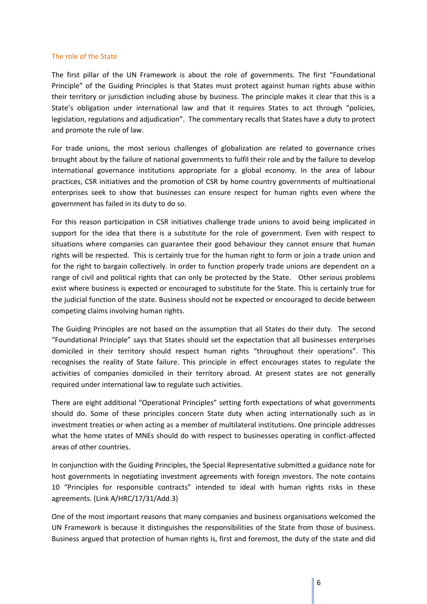#### The role of the State

The first pillar of the UN Framework is about the role of governments. The first "Foundational Principle" of the Guiding Principles is that States must protect against human rights abuse within their territory or jurisdiction including abuse by business. The principle makes it clear that this is a State's obligation under international law and that it requires States to act through "policies, legislation, regulations and adjudication". The commentary recalls that States have a duty to protect and promote the rule of law.

For trade unions, the most serious challenges of globalization are related to governance crises brought about by the failure of national governments to fulfil their role and by the failure to develop international governance institutions appropriate for a global economy. In the area of labour practices, CSR initiatives and the promotion of CSR by home country governments of multinational enterprises seek to show that businesses can ensure respect for human rights even where the government has failed in its duty to do so.

For this reason participation in CSR initiatives challenge trade unions to avoid being implicated in support for the idea that there is a substitute for the role of government. Even with respect to situations where companies can guarantee their good behaviour they cannot ensure that human rights will be respected. This is certainly true for the human right to form or join a trade union and for the right to bargain collectively. In order to function properly trade unions are dependent on a range of civil and political rights that can only be protected by the State. Other serious problems exist where business is expected or encouraged to substitute for the State. This is certainly true for the judicial function of the state. Business should not be expected or encouraged to decide between competing claims involving human rights.

The Guiding Principles are not based on the assumption that all States do their duty. The second "Foundational Principle" says that States should set the expectation that all businesses enterprises domiciled in their territory should respect human rights "throughout their operations". This recognises the reality of State failure. This principle in effect encourages states to regulate the activities of companies domiciled in their territory abroad. At present states are not generally required under international law to regulate such activities.

There are eight additional "Operational Principles" setting forth expectations of what governments should do. Some of these principles concern State duty when acting internationally such as in investment treaties or when acting as a member of multilateral institutions. One principle addresses what the home states of MNEs should do with respect to businesses operating in conflict-affected areas of other countries.

In conjunction with the Guiding Principles, the Special Representative submitted a guidance note for host governments in negotiating investment agreements with foreign investors. The note contains 10 "Principles for responsible contracts" intended to ideal with human rights risks in these agreements. (Link A/HRC/17/31/Add.3)

One of the most important reasons that many companies and business organisations welcomed the UN Framework is because it distinguishes the responsibilities of the State from those of business. Business argued that protection of human rights is, first and foremost, the duty of the state and did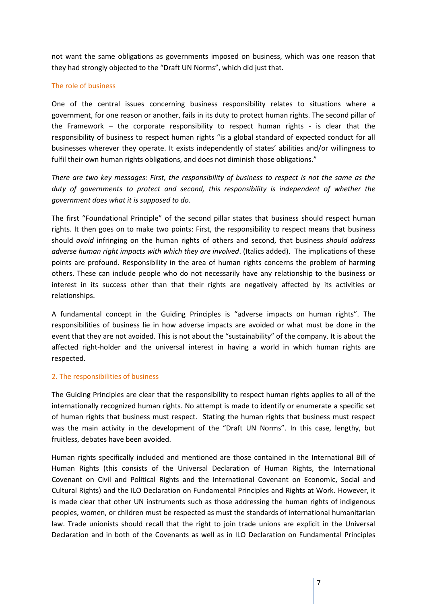not want the same obligations as governments imposed on business, which was one reason that they had strongly objected to the "Draft UN Norms", which did just that.

#### The role of business

One of the central issues concerning business responsibility relates to situations where a government, for one reason or another, fails in its duty to protect human rights. The second pillar of the Framework – the corporate responsibility to respect human rights - is clear that the responsibility of business to respect human rights "is a global standard of expected conduct for all businesses wherever they operate. It exists independently of states' abilities and/or willingness to fulfil their own human rights obligations, and does not diminish those obligations."

*There are two key messages: First, the responsibility of business to respect is not the same as the duty of governments to protect and second, this responsibility is independent of whether the government does what it is supposed to do.* 

The first "Foundational Principle" of the second pillar states that business should respect human rights. It then goes on to make two points: First, the responsibility to respect means that business should *avoid* infringing on the human rights of others and second, that business *should address adverse human right impacts with which they are involved*. (Italics added). The implications of these points are profound. Responsibility in the area of human rights concerns the problem of harming others. These can include people who do not necessarily have any relationship to the business or interest in its success other than that their rights are negatively affected by its activities or relationships.

A fundamental concept in the Guiding Principles is "adverse impacts on human rights". The responsibilities of business lie in how adverse impacts are avoided or what must be done in the event that they are not avoided. This is not about the "sustainability" of the company. It is about the affected right-holder and the universal interest in having a world in which human rights are respected.

# 2. The responsibilities of business

The Guiding Principles are clear that the responsibility to respect human rights applies to all of the internationally recognized human rights. No attempt is made to identify or enumerate a specific set of human rights that business must respect. Stating the human rights that business must respect was the main activity in the development of the "Draft UN Norms". In this case, lengthy, but fruitless, debates have been avoided.

Human rights specifically included and mentioned are those contained in the International Bill of Human Rights (this consists of the Universal Declaration of Human Rights, the International Covenant on Civil and Political Rights and the International Covenant on Economic, Social and Cultural Rights) and the ILO Declaration on Fundamental Principles and Rights at Work. However, it is made clear that other UN instruments such as those addressing the human rights of indigenous peoples, women, or children must be respected as must the standards of international humanitarian law. Trade unionists should recall that the right to join trade unions are explicit in the Universal Declaration and in both of the Covenants as well as in ILO Declaration on Fundamental Principles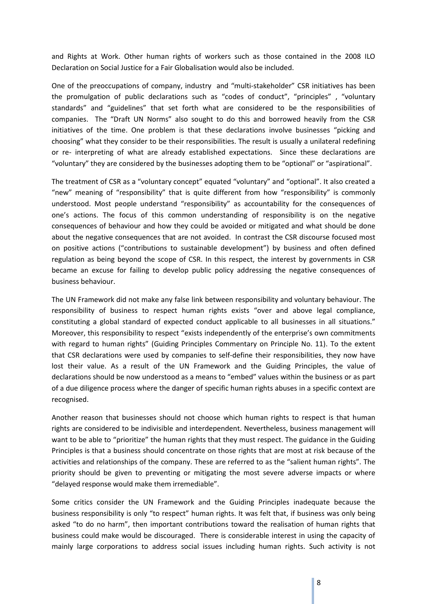and Rights at Work. Other human rights of workers such as those contained in the 2008 ILO Declaration on Social Justice for a Fair Globalisation would also be included.

One of the preoccupations of company, industry and "multi-stakeholder" CSR initiatives has been the promulgation of public declarations such as "codes of conduct", "principles" , "voluntary standards" and "guidelines" that set forth what are considered to be the responsibilities of companies. The "Draft UN Norms" also sought to do this and borrowed heavily from the CSR initiatives of the time. One problem is that these declarations involve businesses "picking and choosing" what they consider to be their responsibilities. The result is usually a unilateral redefining or re- interpreting of what are already established expectations. Since these declarations are "voluntary" they are considered by the businesses adopting them to be "optional" or "aspirational".

The treatment of CSR as a "voluntary concept" equated "voluntary" and "optional". It also created a "new" meaning of "responsibility" that is quite different from how "responsibility" is commonly understood. Most people understand "responsibility" as accountability for the consequences of one's actions. The focus of this common understanding of responsibility is on the negative consequences of behaviour and how they could be avoided or mitigated and what should be done about the negative consequences that are not avoided. In contrast the CSR discourse focused most on positive actions ("contributions to sustainable development") by business and often defined regulation as being beyond the scope of CSR. In this respect, the interest by governments in CSR became an excuse for failing to develop public policy addressing the negative consequences of business behaviour.

The UN Framework did not make any false link between responsibility and voluntary behaviour. The responsibility of business to respect human rights exists "over and above legal compliance, constituting a global standard of expected conduct applicable to all businesses in all situations." Moreover, this responsibility to respect "exists independently of the enterprise's own commitments with regard to human rights" (Guiding Principles Commentary on Principle No. 11). To the extent that CSR declarations were used by companies to self-define their responsibilities, they now have lost their value. As a result of the UN Framework and the Guiding Principles, the value of declarations should be now understood as a means to "embed" values within the business or as part of a due diligence process where the danger of specific human rights abuses in a specific context are recognised.

Another reason that businesses should not choose which human rights to respect is that human rights are considered to be indivisible and interdependent. Nevertheless, business management will want to be able to "prioritize" the human rights that they must respect. The guidance in the Guiding Principles is that a business should concentrate on those rights that are most at risk because of the activities and relationships of the company. These are referred to as the "salient human rights". The priority should be given to preventing or mitigating the most severe adverse impacts or where "delayed response would make them irremediable".

Some critics consider the UN Framework and the Guiding Principles inadequate because the business responsibility is only "to respect" human rights. It was felt that, if business was only being asked "to do no harm", then important contributions toward the realisation of human rights that business could make would be discouraged. There is considerable interest in using the capacity of mainly large corporations to address social issues including human rights. Such activity is not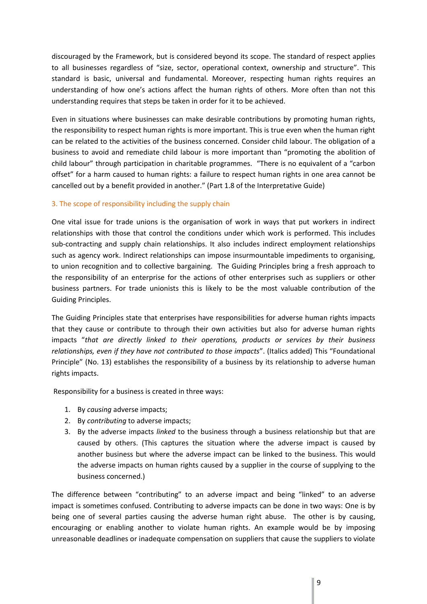discouraged by the Framework, but is considered beyond its scope. The standard of respect applies to all businesses regardless of "size, sector, operational context, ownership and structure". This standard is basic, universal and fundamental. Moreover, respecting human rights requires an understanding of how one's actions affect the human rights of others. More often than not this understanding requires that steps be taken in order for it to be achieved.

Even in situations where businesses can make desirable contributions by promoting human rights, the responsibility to respect human rights is more important. This is true even when the human right can be related to the activities of the business concerned. Consider child labour. The obligation of a business to avoid and remediate child labour is more important than "promoting the abolition of child labour" through participation in charitable programmes. "There is no equivalent of a "carbon offset" for a harm caused to human rights: a failure to respect human rights in one area cannot be cancelled out by a benefit provided in another." (Part 1.8 of the Interpretative Guide)

# 3. The scope of responsibility including the supply chain

One vital issue for trade unions is the organisation of work in ways that put workers in indirect relationships with those that control the conditions under which work is performed. This includes sub-contracting and supply chain relationships. It also includes indirect employment relationships such as agency work. Indirect relationships can impose insurmountable impediments to organising, to union recognition and to collective bargaining. The Guiding Principles bring a fresh approach to the responsibility of an enterprise for the actions of other enterprises such as suppliers or other business partners. For trade unionists this is likely to be the most valuable contribution of the Guiding Principles.

The Guiding Principles state that enterprises have responsibilities for adverse human rights impacts that they cause or contribute to through their own activities but also for adverse human rights impacts "*that are directly linked to their operations, products or services by their business relationships, even if they have not contributed to those impacts*". (Italics added) This "Foundational Principle" (No. 13) establishes the responsibility of a business by its relationship to adverse human rights impacts.

Responsibility for a business is created in three ways:

- 1. By *causing* adverse impacts;
- 2. By *contributing* to adverse impacts;
- 3. By the adverse impacts *linked* to the business through a business relationship but that are caused by others. (This captures the situation where the adverse impact is caused by another business but where the adverse impact can be linked to the business. This would the adverse impacts on human rights caused by a supplier in the course of supplying to the business concerned.)

The difference between "contributing" to an adverse impact and being "linked" to an adverse impact is sometimes confused. Contributing to adverse impacts can be done in two ways: One is by being one of several parties causing the adverse human right abuse. The other is by causing, encouraging or enabling another to violate human rights. An example would be by imposing unreasonable deadlines or inadequate compensation on suppliers that cause the suppliers to violate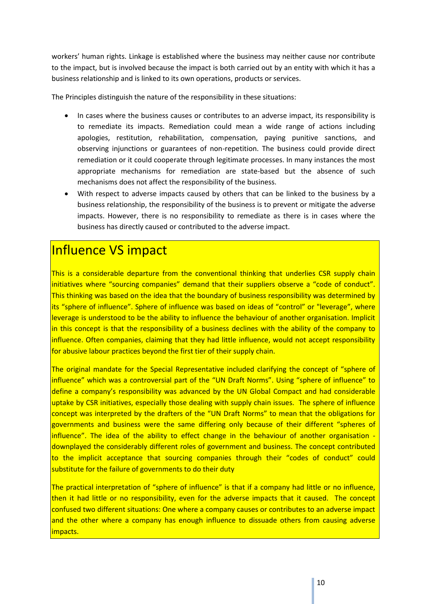workers' human rights. Linkage is established where the business may neither cause nor contribute to the impact, but is involved because the impact is both carried out by an entity with which it has a business relationship and is linked to its own operations, products or services.

The Principles distinguish the nature of the responsibility in these situations:

- In cases where the business causes or contributes to an adverse impact, its responsibility is to remediate its impacts. Remediation could mean a wide range of actions including apologies, restitution, rehabilitation, compensation, paying punitive sanctions, and observing injunctions or guarantees of non-repetition. The business could provide direct remediation or it could cooperate through legitimate processes. In many instances the most appropriate mechanisms for remediation are state-based but the absence of such mechanisms does not affect the responsibility of the business.
- With respect to adverse impacts caused by others that can be linked to the business by a business relationship, the responsibility of the business is to prevent or mitigate the adverse impacts. However, there is no responsibility to remediate as there is in cases where the business has directly caused or contributed to the adverse impact.

# Influence VS impact

This is a considerable departure from the conventional thinking that underlies CSR supply chain initiatives where "sourcing companies" demand that their suppliers observe a "code of conduct". This thinking was based on the idea that the boundary of business responsibility was determined by its "sphere of influence". Sphere of influence was based on ideas of "control" or "leverage", where leverage is understood to be the ability to influence the behaviour of another organisation. Implicit in this concept is that the responsibility of a business declines with the ability of the company to influence. Often companies, claiming that they had little influence, would not accept responsibility for abusive labour practices beyond the first tier of their supply chain.

The original mandate for the Special Representative included clarifying the concept of "sphere of influence" which was a controversial part of the "UN Draft Norms". Using "sphere of influence" to define a company's responsibility was advanced by the UN Global Compact and had considerable uptake by CSR initiatives, especially those dealing with supply chain issues. The sphere of influence concept was interpreted by the drafters of the "UN Draft Norms" to mean that the obligations for governments and business were the same differing only because of their different "spheres of influence". The idea of the ability to effect change in the behaviour of another organisation downplayed the considerably different roles of government and business. The concept contributed to the implicit acceptance that sourcing companies through their "codes of conduct" could substitute for the failure of governments to do their duty

The practical interpretation of "sphere of influence" is that if a company had little or no influence, then it had little or no responsibility, even for the adverse impacts that it caused. The concept confused two different situations: One where a company causes or contributes to an adverse impact and the other where a company has enough influence to dissuade others from causing adverse impacts.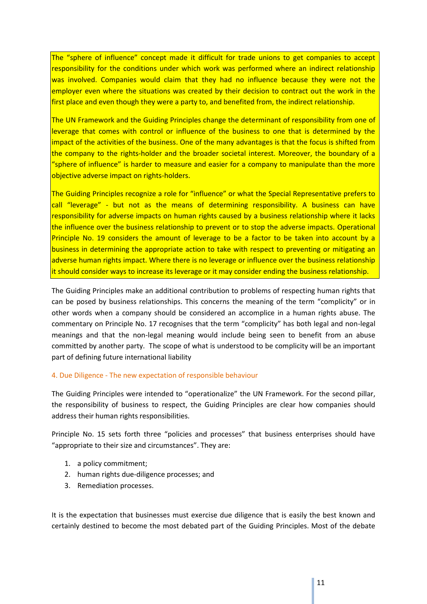The "sphere of influence" concept made it difficult for trade unions to get companies to accept responsibility for the conditions under which work was performed where an indirect relationship was involved. Companies would claim that they had no influence because they were not the employer even where the situations was created by their decision to contract out the work in the first place and even though they were a party to, and benefited from, the indirect relationship.

The UN Framework and the Guiding Principles change the determinant of responsibility from one of leverage that comes with control or influence of the business to one that is determined by the impact of the activities of the business. One of the many advantages is that the focus is shifted from the company to the rights-holder and the broader societal interest. Moreover, the boundary of a "sphere of influence" is harder to measure and easier for a company to manipulate than the more objective adverse impact on rights-holders.

The Guiding Principles recognize a role for "influence" or what the Special Representative prefers to call "leverage" - but not as the means of determining responsibility. A business can have responsibility for adverse impacts on human rights caused by a business relationship where it lacks the influence over the business relationship to prevent or to stop the adverse impacts. Operational Principle No. 19 considers the amount of leverage to be a factor to be taken into account by a business in determining the appropriate action to take with respect to preventing or mitigating an adverse human rights impact. Where there is no leverage or influence over the business relationship it should consider ways to increase its leverage or it may consider ending the business relationship.

The Guiding Principles make an additional contribution to problems of respecting human rights that can be posed by business relationships. This concerns the meaning of the term "complicity" or in other words when a company should be considered an accomplice in a human rights abuse. The commentary on Principle No. 17 recognises that the term "complicity" has both legal and non-legal meanings and that the non-legal meaning would include being seen to benefit from an abuse committed by another party. The scope of what is understood to be complicity will be an important part of defining future international liability

#### 4. Due Diligence - The new expectation of responsible behaviour

The Guiding Principles were intended to "operationalize" the UN Framework. For the second pillar, the responsibility of business to respect, the Guiding Principles are clear how companies should address their human rights responsibilities.

Principle No. 15 sets forth three "policies and processes" that business enterprises should have "appropriate to their size and circumstances". They are:

- 1. a policy commitment;
- 2. human rights due-diligence processes; and
- 3. Remediation processes.

It is the expectation that businesses must exercise due diligence that is easily the best known and certainly destined to become the most debated part of the Guiding Principles. Most of the debate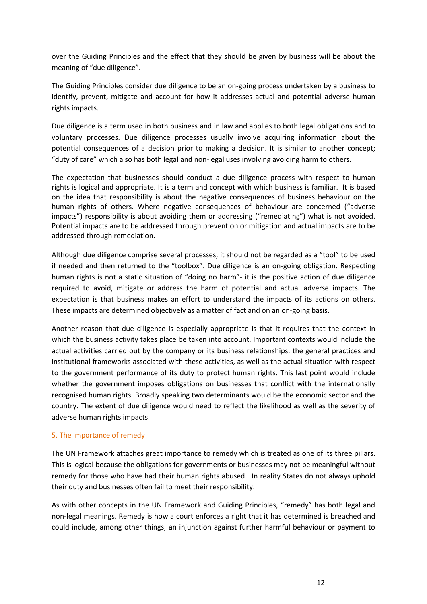over the Guiding Principles and the effect that they should be given by business will be about the meaning of "due diligence".

The Guiding Principles consider due diligence to be an on-going process undertaken by a business to identify, prevent, mitigate and account for how it addresses actual and potential adverse human rights impacts.

Due diligence is a term used in both business and in law and applies to both legal obligations and to voluntary processes. Due diligence processes usually involve acquiring information about the potential consequences of a decision prior to making a decision. It is similar to another concept; "duty of care" which also has both legal and non-legal uses involving avoiding harm to others.

The expectation that businesses should conduct a due diligence process with respect to human rights is logical and appropriate. It is a term and concept with which business is familiar. It is based on the idea that responsibility is about the negative consequences of business behaviour on the human rights of others. Where negative consequences of behaviour are concerned ("adverse impacts") responsibility is about avoiding them or addressing ("remediating") what is not avoided. Potential impacts are to be addressed through prevention or mitigation and actual impacts are to be addressed through remediation.

Although due diligence comprise several processes, it should not be regarded as a "tool" to be used if needed and then returned to the "toolbox". Due diligence is an on-going obligation. Respecting human rights is not a static situation of "doing no harm"- it is the positive action of due diligence required to avoid, mitigate or address the harm of potential and actual adverse impacts. The expectation is that business makes an effort to understand the impacts of its actions on others. These impacts are determined objectively as a matter of fact and on an on-going basis.

Another reason that due diligence is especially appropriate is that it requires that the context in which the business activity takes place be taken into account. Important contexts would include the actual activities carried out by the company or its business relationships, the general practices and institutional frameworks associated with these activities, as well as the actual situation with respect to the government performance of its duty to protect human rights. This last point would include whether the government imposes obligations on businesses that conflict with the internationally recognised human rights. Broadly speaking two determinants would be the economic sector and the country. The extent of due diligence would need to reflect the likelihood as well as the severity of adverse human rights impacts.

# 5. The importance of remedy

The UN Framework attaches great importance to remedy which is treated as one of its three pillars. This is logical because the obligations for governments or businesses may not be meaningful without remedy for those who have had their human rights abused. In reality States do not always uphold their duty and businesses often fail to meet their responsibility.

As with other concepts in the UN Framework and Guiding Principles, "remedy" has both legal and non-legal meanings. Remedy is how a court enforces a right that it has determined is breached and could include, among other things, an injunction against further harmful behaviour or payment to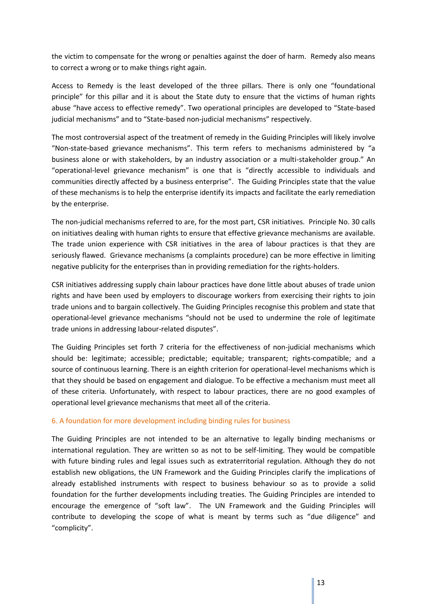the victim to compensate for the wrong or penalties against the doer of harm. Remedy also means to correct a wrong or to make things right again.

Access to Remedy is the least developed of the three pillars. There is only one "foundational principle" for this pillar and it is about the State duty to ensure that the victims of human rights abuse "have access to effective remedy". Two operational principles are developed to "State-based judicial mechanisms" and to "State-based non-judicial mechanisms" respectively.

The most controversial aspect of the treatment of remedy in the Guiding Principles will likely involve "Non-state-based grievance mechanisms". This term refers to mechanisms administered by "a business alone or with stakeholders, by an industry association or a multi-stakeholder group." An "operational-level grievance mechanism" is one that is "directly accessible to individuals and communities directly affected by a business enterprise". The Guiding Principles state that the value of these mechanisms is to help the enterprise identify its impacts and facilitate the early remediation by the enterprise.

The non-judicial mechanisms referred to are, for the most part, CSR initiatives. Principle No. 30 calls on initiatives dealing with human rights to ensure that effective grievance mechanisms are available. The trade union experience with CSR initiatives in the area of labour practices is that they are seriously flawed. Grievance mechanisms (a complaints procedure) can be more effective in limiting negative publicity for the enterprises than in providing remediation for the rights-holders.

CSR initiatives addressing supply chain labour practices have done little about abuses of trade union rights and have been used by employers to discourage workers from exercising their rights to join trade unions and to bargain collectively. The Guiding Principles recognise this problem and state that operational-level grievance mechanisms "should not be used to undermine the role of legitimate trade unions in addressing labour-related disputes".

The Guiding Principles set forth 7 criteria for the effectiveness of non-judicial mechanisms which should be: legitimate; accessible; predictable; equitable; transparent; rights-compatible; and a source of continuous learning. There is an eighth criterion for operational-level mechanisms which is that they should be based on engagement and dialogue. To be effective a mechanism must meet all of these criteria. Unfortunately, with respect to labour practices, there are no good examples of operational level grievance mechanisms that meet all of the criteria.

# 6. A foundation for more development including binding rules for business

The Guiding Principles are not intended to be an alternative to legally binding mechanisms or international regulation. They are written so as not to be self-limiting. They would be compatible with future binding rules and legal issues such as extraterritorial regulation. Although they do not establish new obligations, the UN Framework and the Guiding Principles clarify the implications of already established instruments with respect to business behaviour so as to provide a solid foundation for the further developments including treaties. The Guiding Principles are intended to encourage the emergence of "soft law". The UN Framework and the Guiding Principles will contribute to developing the scope of what is meant by terms such as "due diligence" and "complicity".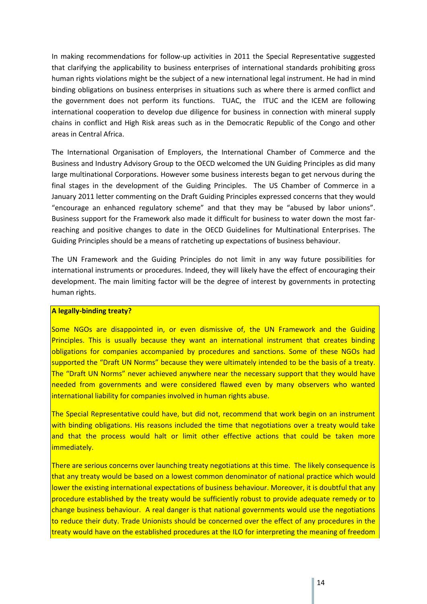In making recommendations for follow-up activities in 2011 the Special Representative suggested that clarifying the applicability to business enterprises of international standards prohibiting gross human rights violations might be the subject of a new international legal instrument. He had in mind binding obligations on business enterprises in situations such as where there is armed conflict and the government does not perform its functions. TUAC, the ITUC and the ICEM are following international cooperation to develop due diligence for business in connection with mineral supply chains in conflict and High Risk areas such as in the Democratic Republic of the Congo and other areas in Central Africa.

The International Organisation of Employers, the International Chamber of Commerce and the Business and Industry Advisory Group to the OECD welcomed the UN Guiding Principles as did many large multinational Corporations. However some business interests began to get nervous during the final stages in the development of the Guiding Principles. The US Chamber of Commerce in a January 2011 letter commenting on the Draft Guiding Principles expressed concerns that they would "encourage an enhanced regulatory scheme" and that they may be "abused by labor unions". Business support for the Framework also made it difficult for business to water down the most farreaching and positive changes to date in the OECD Guidelines for Multinational Enterprises. The Guiding Principles should be a means of ratcheting up expectations of business behaviour.

The UN Framework and the Guiding Principles do not limit in any way future possibilities for international instruments or procedures. Indeed, they will likely have the effect of encouraging their development. The main limiting factor will be the degree of interest by governments in protecting human rights.

#### **A legally-binding treaty?**

Some NGOs are disappointed in, or even dismissive of, the UN Framework and the Guiding Principles. This is usually because they want an international instrument that creates binding obligations for companies accompanied by procedures and sanctions. Some of these NGOs had supported the "Draft UN Norms" because they were ultimately intended to be the basis of a treaty. The "Draft UN Norms" never achieved anywhere near the necessary support that they would have needed from governments and were considered flawed even by many observers who wanted international liability for companies involved in human rights abuse.

The Special Representative could have, but did not, recommend that work begin on an instrument with binding obligations. His reasons included the time that negotiations over a treaty would take and that the process would halt or limit other effective actions that could be taken more immediately.

There are serious concerns over launching treaty negotiations at this time. The likely consequence is that any treaty would be based on a lowest common denominator of national practice which would lower the existing international expectations of business behaviour. Moreover, it is doubtful that any procedure established by the treaty would be sufficiently robust to provide adequate remedy or to change business behaviour. A real danger is that national governments would use the negotiations to reduce their duty. Trade Unionists should be concerned over the effect of any procedures in the treaty would have on the established procedures at the ILO for interpreting the meaning of freedom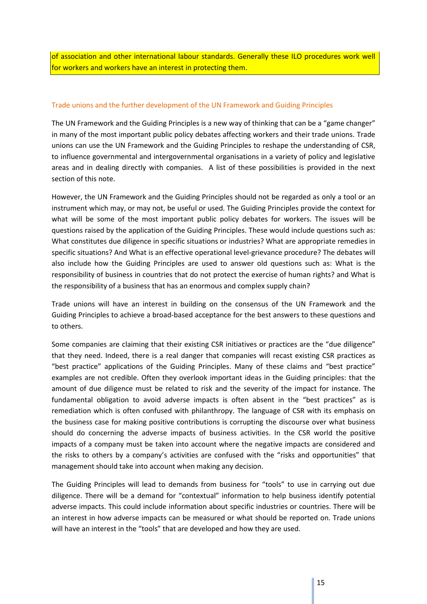of association and other international labour standards. Generally these ILO procedures work well for workers and workers have an interest in protecting them.

#### Trade unions and the further development of the UN Framework and Guiding Principles

The UN Framework and the Guiding Principles is a new way of thinking that can be a "game changer" in many of the most important public policy debates affecting workers and their trade unions. Trade unions can use the UN Framework and the Guiding Principles to reshape the understanding of CSR, to influence governmental and intergovernmental organisations in a variety of policy and legislative areas and in dealing directly with companies. A list of these possibilities is provided in the next section of this note.

However, the UN Framework and the Guiding Principles should not be regarded as only a tool or an instrument which may, or may not, be useful or used. The Guiding Principles provide the context for what will be some of the most important public policy debates for workers. The issues will be questions raised by the application of the Guiding Principles. These would include questions such as: What constitutes due diligence in specific situations or industries? What are appropriate remedies in specific situations? And What is an effective operational level-grievance procedure? The debates will also include how the Guiding Principles are used to answer old questions such as: What is the responsibility of business in countries that do not protect the exercise of human rights? and What is the responsibility of a business that has an enormous and complex supply chain?

Trade unions will have an interest in building on the consensus of the UN Framework and the Guiding Principles to achieve a broad-based acceptance for the best answers to these questions and to others.

Some companies are claiming that their existing CSR initiatives or practices are the "due diligence" that they need. Indeed, there is a real danger that companies will recast existing CSR practices as "best practice" applications of the Guiding Principles. Many of these claims and "best practice" examples are not credible. Often they overlook important ideas in the Guiding principles: that the amount of due diligence must be related to risk and the severity of the impact for instance. The fundamental obligation to avoid adverse impacts is often absent in the "best practices" as is remediation which is often confused with philanthropy. The language of CSR with its emphasis on the business case for making positive contributions is corrupting the discourse over what business should do concerning the adverse impacts of business activities. In the CSR world the positive impacts of a company must be taken into account where the negative impacts are considered and the risks to others by a company's activities are confused with the "risks and opportunities" that management should take into account when making any decision.

The Guiding Principles will lead to demands from business for "tools" to use in carrying out due diligence. There will be a demand for "contextual" information to help business identify potential adverse impacts. This could include information about specific industries or countries. There will be an interest in how adverse impacts can be measured or what should be reported on. Trade unions will have an interest in the "tools" that are developed and how they are used.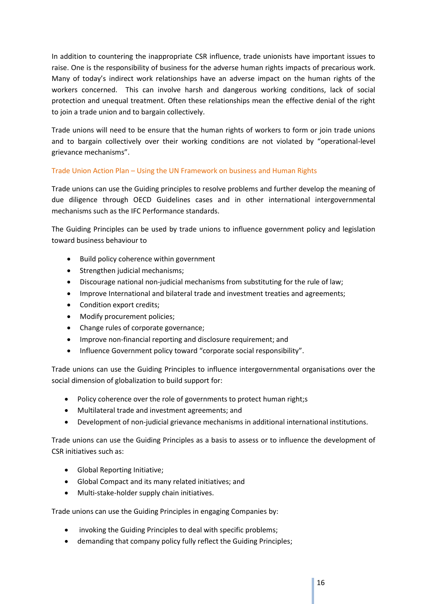In addition to countering the inappropriate CSR influence, trade unionists have important issues to raise. One is the responsibility of business for the adverse human rights impacts of precarious work. Many of today's indirect work relationships have an adverse impact on the human rights of the workers concerned. This can involve harsh and dangerous working conditions, lack of social protection and unequal treatment. Often these relationships mean the effective denial of the right to join a trade union and to bargain collectively.

Trade unions will need to be ensure that the human rights of workers to form or join trade unions and to bargain collectively over their working conditions are not violated by "operational-level grievance mechanisms".

# Trade Union Action Plan – Using the UN Framework on business and Human Rights

Trade unions can use the Guiding principles to resolve problems and further develop the meaning of due diligence through OECD Guidelines cases and in other international intergovernmental mechanisms such as the IFC Performance standards.

The Guiding Principles can be used by trade unions to influence government policy and legislation toward business behaviour to

- Build policy coherence within government
- Strengthen judicial mechanisms;
- Discourage national non-judicial mechanisms from substituting for the rule of law;
- Improve International and bilateral trade and investment treaties and agreements;
- Condition export credits;
- Modify procurement policies;
- Change rules of corporate governance;
- Improve non-financial reporting and disclosure requirement; and
- Influence Government policy toward "corporate social responsibility".

Trade unions can use the Guiding Principles to influence intergovernmental organisations over the social dimension of globalization to build support for:

- Policy coherence over the role of governments to protect human right;s
- Multilateral trade and investment agreements; and
- Development of non-judicial grievance mechanisms in additional international institutions.

Trade unions can use the Guiding Principles as a basis to assess or to influence the development of CSR initiatives such as:

- Global Reporting Initiative;
- Global Compact and its many related initiatives; and
- Multi-stake-holder supply chain initiatives.

Trade unions can use the Guiding Principles in engaging Companies by:

- invoking the Guiding Principles to deal with specific problems;
- demanding that company policy fully reflect the Guiding Principles;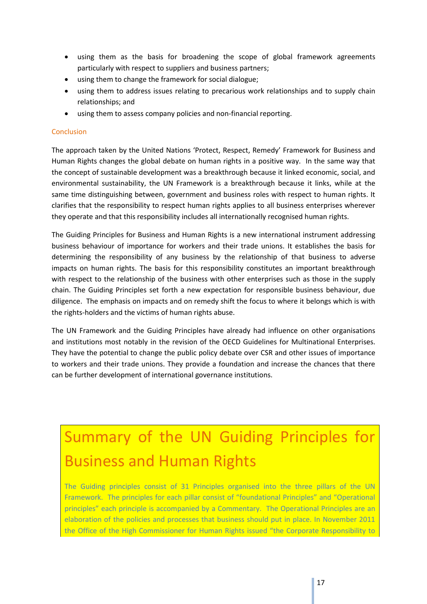- using them as the basis for broadening the scope of global framework agreements particularly with respect to suppliers and business partners;
- using them to change the framework for social dialogue;
- using them to address issues relating to precarious work relationships and to supply chain relationships; and
- using them to assess company policies and non-financial reporting.

#### **Conclusion**

The approach taken by the United Nations 'Protect, Respect, Remedy' Framework for Business and Human Rights changes the global debate on human rights in a positive way. In the same way that the concept of sustainable development was a breakthrough because it linked economic, social, and environmental sustainability, the UN Framework is a breakthrough because it links, while at the same time distinguishing between, government and business roles with respect to human rights. It clarifies that the responsibility to respect human rights applies to all business enterprises wherever they operate and that this responsibility includes all internationally recognised human rights.

The Guiding Principles for Business and Human Rights is a new international instrument addressing business behaviour of importance for workers and their trade unions. It establishes the basis for determining the responsibility of any business by the relationship of that business to adverse impacts on human rights. The basis for this responsibility constitutes an important breakthrough with respect to the relationship of the business with other enterprises such as those in the supply chain. The Guiding Principles set forth a new expectation for responsible business behaviour, due diligence. The emphasis on impacts and on remedy shift the focus to where it belongs which is with the rights-holders and the victims of human rights abuse.

The UN Framework and the Guiding Principles have already had influence on other organisations and institutions most notably in the revision of the OECD Guidelines for Multinational Enterprises. They have the potential to change the public policy debate over CSR and other issues of importance to workers and their trade unions. They provide a foundation and increase the chances that there can be further development of international governance institutions.

# Summary of the UN Guiding Principles for Business and Human Rights

The Guiding principles consist of 31 Principles organised into the three pillars of the UN Framework. The principles for each pillar consist of "foundational Principles" and "Operational principles" each principle is accompanied by a Commentary. The Operational Principles are an elaboration of the policies and processes that business should put in place. In November 2011 the Office of the High Commissioner for Human Rights issued "the Corporate Responsibility to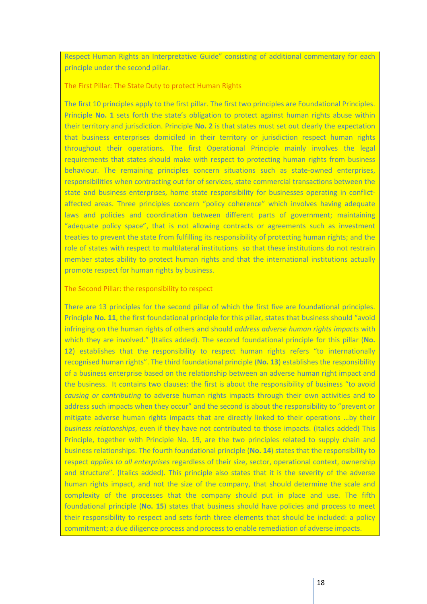Respect Human Rights an Interpretative Guide" consisting of additional commentary for each principle under the second pillar.

The First Pillar: The State Duty to protect Human Rights

The first 10 principles apply to the first pillar. The first two principles are Foundational Principles. Principle **No. 1** sets forth the state's obligation to protect against human rights abuse within their territory and jurisdiction. Principle **No. 2** is that states must set out clearly the expectation that business enterprises domiciled in their territory or jurisdiction respect human rights throughout their operations. The first Operational Principle mainly involves the legal requirements that states should make with respect to protecting human rights from business behaviour. The remaining principles concern situations such as state-owned enterprises, responsibilities when contracting out for of services, state commercial transactions between the state and business enterprises, home state responsibility for businesses operating in conflictaffected areas. Three principles concern "policy coherence" which involves having adequate laws and policies and coordination between different parts of government; maintaining "adequate policy space", that is not allowing contracts or agreements such as investment treaties to prevent the state from fulfilling its responsibility of protecting human rights; and the role of states with respect to multilateral institutions so that these institutions do not restrain member states ability to protect human rights and that the international institutions actually promote respect for human rights by business.

#### The Second Pillar: the responsibility to respect

There are 13 principles for the second pillar of which the first five are foundational principles. Principle **No. 11**, the first foundational principle for this pillar, states that business should "avoid infringing on the human rights of others and should *address adverse human rights impacts* with which they are involved." (Italics added). The second foundational principle for this pillar (**No. 12**) establishes that the responsibility to respect human rights refers "to internationally recognised human rights". The third foundational principle (**No. 13**) establishes the responsibility of a business enterprise based on the relationship between an adverse human right impact and the business. It contains two clauses: the first is about the responsibility of business "to avoid *causing or contributing* to adverse human rights impacts through their own activities and to address such impacts when they occur" and the second is about the responsibility to "prevent or mitigate adverse human rights impacts that are directly linked to their operations …by their *business relationships*, even if they have not contributed to those impacts. (Italics added) This Principle, together with Principle No. 19, are the two principles related to supply chain and business relationships. The fourth foundational principle (**No. 14**) states that the responsibility to respect *applies to all enterprises* regardless of their size, sector, operational context, ownership and structure". (Italics added). This principle also states that it is the severity of the adverse human rights impact, and not the size of the company, that should determine the scale and complexity of the processes that the company should put in place and use. The fifth foundational principle (**No. 15**) states that business should have policies and process to meet their responsibility to respect and sets forth three elements that should be included: a policy commitment; a due diligence process and process to enable remediation of adverse impacts.